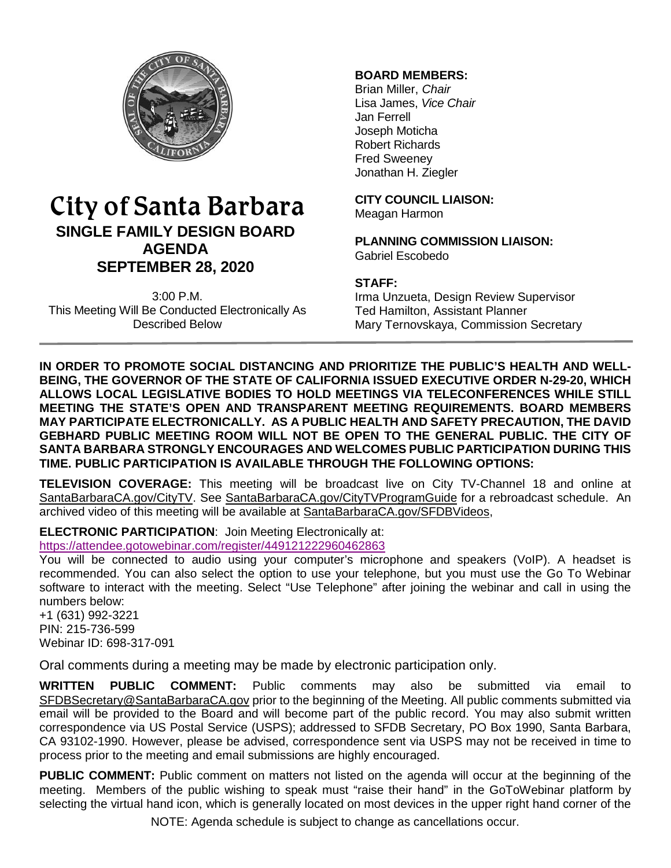

# City of Santa Barbara **SINGLE FAMILY DESIGN BOARD AGENDA SEPTEMBER 28, 2020**

3:00 P.M. This Meeting Will Be Conducted Electronically As Described Below

# **BOARD MEMBERS:**

Brian Miller, *Chair* Lisa James, *Vice Chair* Jan Ferrell Joseph Moticha Robert Richards Fred Sweeney Jonathan H. Ziegler

**CITY COUNCIL LIAISON:** Meagan Harmon

**PLANNING COMMISSION LIAISON:** Gabriel Escobedo

# **STAFF:**

Irma Unzueta, Design Review Supervisor Ted Hamilton, Assistant Planner Mary Ternovskaya, Commission Secretary

**IN ORDER TO PROMOTE SOCIAL DISTANCING AND PRIORITIZE THE PUBLIC'S HEALTH AND WELL-BEING, THE GOVERNOR OF THE STATE OF CALIFORNIA ISSUED EXECUTIVE ORDER N-29-20, WHICH ALLOWS LOCAL LEGISLATIVE BODIES TO HOLD MEETINGS VIA TELECONFERENCES WHILE STILL MEETING THE STATE'S OPEN AND TRANSPARENT MEETING REQUIREMENTS. BOARD MEMBERS MAY PARTICIPATE ELECTRONICALLY. AS A PUBLIC HEALTH AND SAFETY PRECAUTION, THE DAVID GEBHARD PUBLIC MEETING ROOM WILL NOT BE OPEN TO THE GENERAL PUBLIC. THE CITY OF SANTA BARBARA STRONGLY ENCOURAGES AND WELCOMES PUBLIC PARTICIPATION DURING THIS TIME. PUBLIC PARTICIPATION IS AVAILABLE THROUGH THE FOLLOWING OPTIONS:**

**TELEVISION COVERAGE:** This meeting will be broadcast live on City TV-Channel 18 and online at [SantaBarbaraCA.gov/CityTV.](http://www.santabarbaraca.gov/CityTV) See [SantaBarbaraCA.gov/CityTVProgramGuide](http://www.santabarbaraca.gov/CityTVProgramGuide) for a rebroadcast schedule. An archived video of this meeting will be available at [SantaBarbaraCA.gov/SFDBVideos,](http://www.santabarbaraca.gov/SFDBVideos)

**ELECTRONIC PARTICIPATION**: Join Meeting Electronically at:

<https://attendee.gotowebinar.com/register/449121222960462863>

You will be connected to audio using your computer's microphone and speakers (VoIP). A headset is recommended. You can also select the option to use your telephone, but you must use the Go To Webinar software to interact with the meeting. Select "Use Telephone" after joining the webinar and call in using the numbers below:

+1 (631) 992-3221 PIN: 215-736-599 Webinar ID: 698-317-091

Oral comments during a meeting may be made by electronic participation only.

**WRITTEN PUBLIC COMMENT:** Public comments may also be submitted via email to [SFDBSecretary@SantaBarbaraCA.gov](mailto:SFDBSecretary@SantaBarbaraCA.gov) prior to the beginning of the Meeting. All public comments submitted via email will be provided to the Board and will become part of the public record. You may also submit written correspondence via US Postal Service (USPS); addressed to SFDB Secretary, PO Box 1990, Santa Barbara, CA 93102-1990. However, please be advised, correspondence sent via USPS may not be received in time to process prior to the meeting and email submissions are highly encouraged.

**PUBLIC COMMENT:** Public comment on matters not listed on the agenda will occur at the beginning of the meeting. Members of the public wishing to speak must "raise their hand" in the GoToWebinar platform by selecting the virtual hand icon, which is generally located on most devices in the upper right hand corner of the

NOTE: Agenda schedule is subject to change as cancellations occur.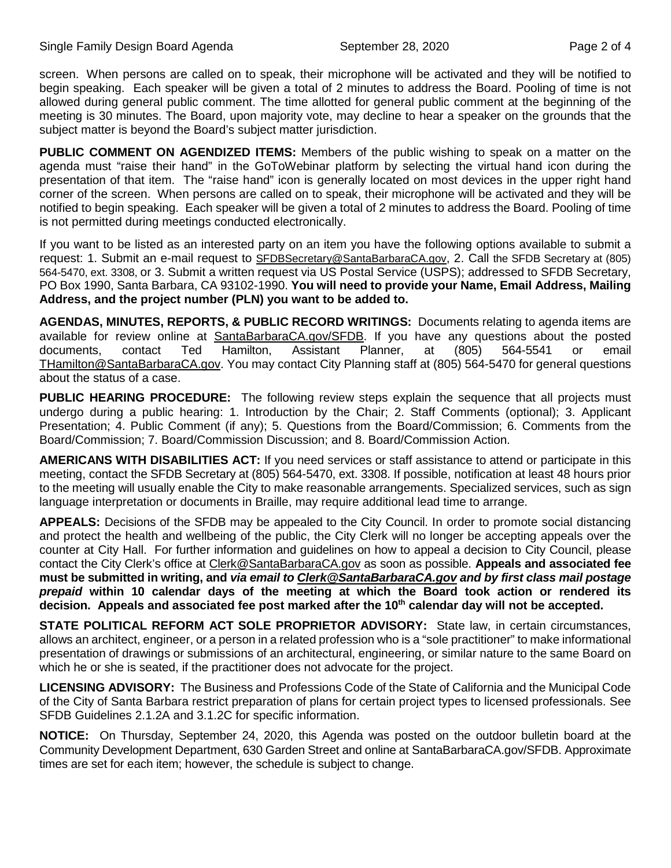screen. When persons are called on to speak, their microphone will be activated and they will be notified to begin speaking. Each speaker will be given a total of 2 minutes to address the Board. Pooling of time is not allowed during general public comment. The time allotted for general public comment at the beginning of the meeting is 30 minutes. The Board, upon majority vote, may decline to hear a speaker on the grounds that the subject matter is beyond the Board's subject matter jurisdiction.

**PUBLIC COMMENT ON AGENDIZED ITEMS:** Members of the public wishing to speak on a matter on the agenda must "raise their hand" in the GoToWebinar platform by selecting the virtual hand icon during the presentation of that item. The "raise hand" icon is generally located on most devices in the upper right hand corner of the screen. When persons are called on to speak, their microphone will be activated and they will be notified to begin speaking. Each speaker will be given a total of 2 minutes to address the Board. Pooling of time is not permitted during meetings conducted electronically.

If you want to be listed as an interested party on an item you have the following options available to submit a request: 1. Submit an e-mail request to [SFDBSecretary@SantaBarbaraCA.gov,](mailto:SFDBSecretary@SantaBarbaraCA.gov) 2. Call the SFDB Secretary at (805) 564-5470, ext. 3308, or 3. Submit a written request via US Postal Service (USPS); addressed to SFDB Secretary, PO Box 1990, Santa Barbara, CA 93102-1990. **You will need to provide your Name, Email Address, Mailing Address, and the project number (PLN) you want to be added to.**

**AGENDAS, MINUTES, REPORTS, & PUBLIC RECORD WRITINGS:** Documents relating to agenda items are available for review online at **SantaBarbaraCA.gov/SFDB**. If you have any questions about the posted documents, contact Ted Hamilton, Assistant Planner, at (805) 564-5541 or email [THamilton@SantaBarbaraCA.gov.](mailto:THamilton@SantaBarbaraCA.gov) You may contact City Planning staff at (805) 564-5470 for general questions about the status of a case.

**PUBLIC HEARING PROCEDURE:** The following review steps explain the sequence that all projects must undergo during a public hearing: 1. Introduction by the Chair; 2. Staff Comments (optional); 3. Applicant Presentation; 4. Public Comment (if any); 5. Questions from the Board/Commission; 6. Comments from the Board/Commission; 7. Board/Commission Discussion; and 8. Board/Commission Action.

**AMERICANS WITH DISABILITIES ACT:** If you need services or staff assistance to attend or participate in this meeting, contact the SFDB Secretary at (805) 564-5470, ext. 3308. If possible, notification at least 48 hours prior to the meeting will usually enable the City to make reasonable arrangements. Specialized services, such as sign language interpretation or documents in Braille, may require additional lead time to arrange.

**APPEALS:** Decisions of the SFDB may be appealed to the City Council. In order to promote social distancing and protect the health and wellbeing of the public, the City Clerk will no longer be accepting appeals over the counter at City Hall. For further information and guidelines on how to appeal a decision to City Council, please contact the City Clerk's office at [Clerk@SantaBarbaraCA.gov](mailto:Clerk@SantaBarbaraCA.gov) as soon as possible. **Appeals and associated fee must be submitted in writing, and** *via email to [Clerk@SantaBarbaraCA.gov](mailto:Clerk@SantaBarbaraCA.gov) and by first class mail postage prepaid* **within 10 calendar days of the meeting at which the Board took action or rendered its**  decision. Appeals and associated fee post marked after the 10<sup>th</sup> calendar day will not be accepted.

**STATE POLITICAL REFORM ACT SOLE PROPRIETOR ADVISORY:** State law, in certain circumstances, allows an architect, engineer, or a person in a related profession who is a "sole practitioner" to make informational presentation of drawings or submissions of an architectural, engineering, or similar nature to the same Board on which he or she is seated, if the practitioner does not advocate for the project.

**LICENSING ADVISORY:** The Business and Professions Code of the State of California and the Municipal Code of the City of Santa Barbara restrict preparation of plans for certain project types to licensed professionals. See SFDB Guidelines 2.1.2A and 3.1.2C for specific information.

**NOTICE:** On Thursday, September 24, 2020, this Agenda was posted on the outdoor bulletin board at the Community Development Department, 630 Garden Street and online at [SantaBarbaraCA.gov/SFDB.](http://www.santabarbaraca.gov/gov/brdcomm/nz/sfdb/agendas.asp) Approximate times are set for each item; however, the schedule is subject to change.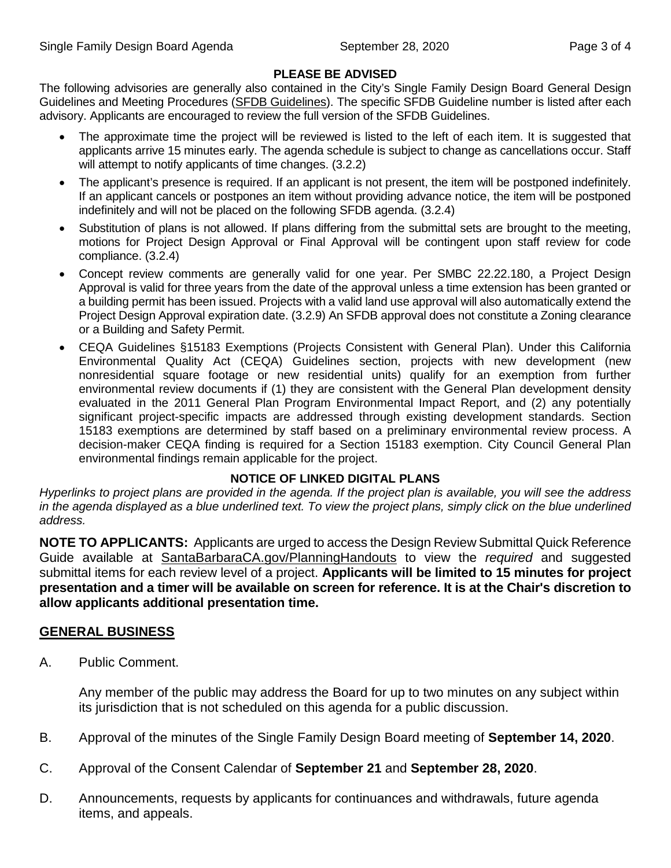# **PLEASE BE ADVISED**

The following advisories are generally also contained in the City's Single Family Design Board General Design Guidelines and Meeting Procedures [\(SFDB Guidelines\)](http://www.santabarbaraca.gov/services/planning/design/boards/sfdb.asp). The specific SFDB Guideline number is listed after each advisory. Applicants are encouraged to review the full version of the SFDB Guidelines.

- The approximate time the project will be reviewed is listed to the left of each item. It is suggested that applicants arrive 15 minutes early. The agenda schedule is subject to change as cancellations occur. Staff will attempt to notify applicants of time changes. (3.2.2)
- The applicant's presence is required. If an applicant is not present, the item will be postponed indefinitely. If an applicant cancels or postpones an item without providing advance notice, the item will be postponed indefinitely and will not be placed on the following SFDB agenda. (3.2.4)
- Substitution of plans is not allowed. If plans differing from the submittal sets are brought to the meeting, motions for Project Design Approval or Final Approval will be contingent upon staff review for code compliance. (3.2.4)
- Concept review comments are generally valid for one year. Per SMBC 22.22.180, a Project Design Approval is valid for three years from the date of the approval unless a time extension has been granted or a building permit has been issued. Projects with a valid land use approval will also automatically extend the Project Design Approval expiration date. (3.2.9) An SFDB approval does not constitute a Zoning clearance or a Building and Safety Permit.
- CEQA Guidelines §15183 Exemptions (Projects Consistent with General Plan). Under this California Environmental Quality Act (CEQA) Guidelines section, projects with new development (new nonresidential square footage or new residential units) qualify for an exemption from further environmental review documents if (1) they are consistent with the General Plan development density evaluated in the 2011 General Plan Program Environmental Impact Report, and (2) any potentially significant project-specific impacts are addressed through existing development standards. Section 15183 exemptions are determined by staff based on a preliminary environmental review process. A decision-maker CEQA finding is required for a Section 15183 exemption. City Council General Plan environmental findings remain applicable for the project.

#### **NOTICE OF LINKED DIGITAL PLANS**

*Hyperlinks to project plans are provided in the agenda. If the project plan is available, you will see the address in the agenda displayed as a blue underlined text. To view the project plans, simply click on the blue underlined address.*

**NOTE TO APPLICANTS:** Applicants are urged to access the Design Review Submittal Quick Reference Guide available at [SantaBarbaraCA.gov/PlanningHandouts](http://www.santabarbaraca.gov/services/planning/forms/planning.asp?utm_source=CommunityDevelopment&utm_medium=PlanningHandouts&utm_campaign=QuickLinks) to view the *required* and suggested submittal items for each review level of a project. **Applicants will be limited to 15 minutes for project presentation and a timer will be available on screen for reference. It is at the Chair's discretion to allow applicants additional presentation time.**

# **GENERAL BUSINESS**

A. Public Comment.

Any member of the public may address the Board for up to two minutes on any subject within its jurisdiction that is not scheduled on this agenda for a public discussion.

- B. Approval of the minutes of the Single Family Design Board meeting of **September 14, 2020**.
- C. Approval of the Consent Calendar of **September 21** and **September 28, 2020**.
- D. Announcements, requests by applicants for continuances and withdrawals, future agenda items, and appeals.